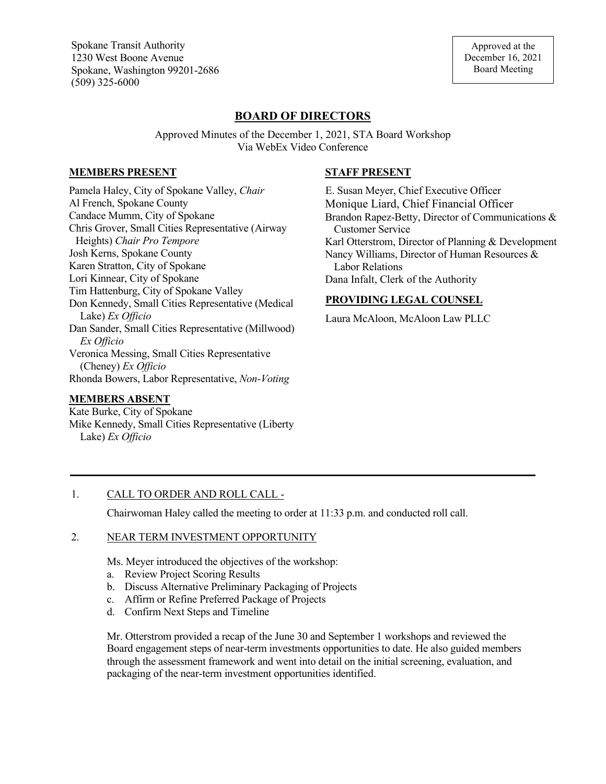Spokane Transit Authority 1230 West Boone Avenue Spokane, Washington 99201-2686 (509) 325-6000

# **BOARD OF DIRECTORS**

Approved Minutes of the December 1, 2021, STA Board Workshop Via WebEx Video Conference

#### **MEMBERS PRESENT**

Pamela Haley, City of Spokane Valley, *Chair* Al French, Spokane County Candace Mumm, City of Spokane Chris Grover, Small Cities Representative (Airway Heights) *Chair Pro Tempore* Josh Kerns, Spokane County Karen Stratton, City of Spokane Lori Kinnear, City of Spokane Tim Hattenburg, City of Spokane Valley Don Kennedy, Small Cities Representative (Medical Lake) *Ex Officio* Dan Sander, Small Cities Representative (Millwood) *Ex Officio* Veronica Messing, Small Cities Representative (Cheney) *Ex Officio* Rhonda Bowers, Labor Representative, *Non-Voting*

### **MEMBERS ABSENT**

Kate Burke, City of Spokane Mike Kennedy, Small Cities Representative (Liberty Lake) *Ex Officio*

### **STAFF PRESENT**

E. Susan Meyer, Chief Executive Officer Monique Liard, Chief Financial Officer Brandon Rapez-Betty, Director of Communications & Customer Service Karl Otterstrom, Director of Planning & Development Nancy Williams, Director of Human Resources & Labor Relations Dana Infalt, Clerk of the Authority

### **PROVIDING LEGAL COUNSEL**

Laura McAloon, McAloon Law PLLC

## 1. CALL TO ORDER AND ROLL CALL -

Chairwoman Haley called the meeting to order at 11:33 p.m. and conducted roll call.

### 2. NEAR TERM INVESTMENT OPPORTUNITY

Ms. Meyer introduced the objectives of the workshop:

- a. Review Project Scoring Results
- b. Discuss Alternative Preliminary Packaging of Projects
- c. Affirm or Refine Preferred Package of Projects
- d. Confirm Next Steps and Timeline

Mr. Otterstrom provided a recap of the June 30 and September 1 workshops and reviewed the Board engagement steps of near-term investments opportunities to date. He also guided members through the assessment framework and went into detail on the initial screening, evaluation, and packaging of the near-term investment opportunities identified.